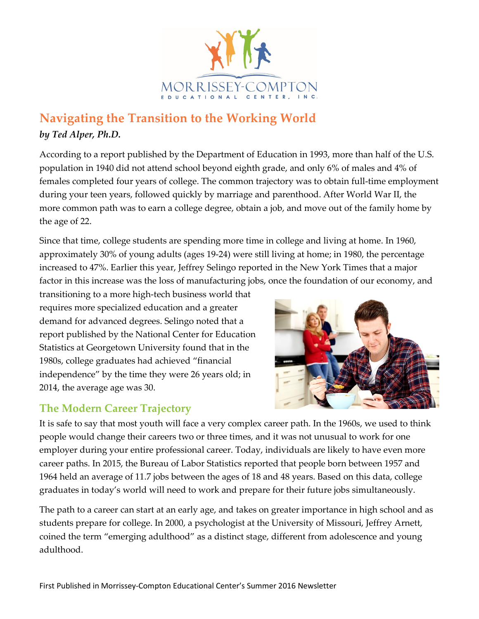

## **Navigating the Transition to the Working World** *by Ted Alper, Ph.D.*

According to a report published by the Department of Education in 1993, more than half of the U.S. population in 1940 did not attend school beyond eighth grade, and only 6% of males and 4% of females completed four years of college. The common trajectory was to obtain full-time employment during your teen years, followed quickly by marriage and parenthood. After World War II, the more common path was to earn a college degree, obtain a job, and move out of the family home by the age of 22.

Since that time, college students are spending more time in college and living at home. In 1960, approximately 30% of young adults (ages 19-24) were still living at home; in 1980, the percentage increased to 47%. Earlier this year, Jeffrey Selingo reported in the New York Times that a major factor in this increase was the loss of manufacturing jobs, once the foundation of our economy, and

transitioning to a more high-tech business world that requires more specialized education and a greater demand for advanced degrees. Selingo noted that a report published by the National Center for Education Statistics at Georgetown University found that in the 1980s, college graduates had achieved "financial independence" by the time they were 26 years old; in 2014, the average age was 30.

## **The Modern Career Trajectory**



It is safe to say that most youth will face a very complex career path. In the 1960s, we used to think people would change their careers two or three times, and it was not unusual to work for one employer during your entire professional career. Today, individuals are likely to have even more career paths. In 2015, the Bureau of Labor Statistics reported that people born between 1957 and 1964 held an average of 11.7 jobs between the ages of 18 and 48 years. Based on this data, college graduates in today's world will need to work and prepare for their future jobs simultaneously.

The path to a career can start at an early age, and takes on greater importance in high school and as students prepare for college. In 2000, a psychologist at the University of Missouri, Jeffrey Arnett, coined the term "emerging adulthood" as a distinct stage, different from adolescence and young adulthood.